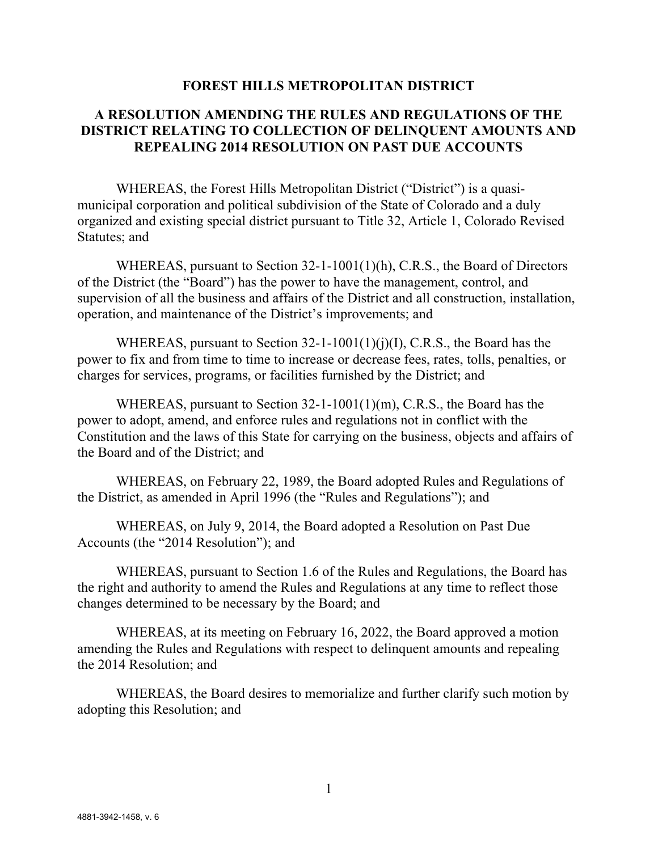## FOREST HILLS METROPOLITAN DISTRICT

## A RESOLUTION AMENDING THE RULES AND REGULATIONS OF THE DISTRICT RELATING TO COLLECTION OF DELINQUENT AMOUNTS AND REPEALING 2014 RESOLUTION ON PAST DUE ACCOUNTS

WHEREAS, the Forest Hills Metropolitan District ("District") is a quasimunicipal corporation and political subdivision of the State of Colorado and a duly organized and existing special district pursuant to Title 32, Article 1, Colorado Revised Statutes; and

WHEREAS, pursuant to Section 32-1-1001(1)(h), C.R.S., the Board of Directors of the District (the "Board") has the power to have the management, control, and supervision of all the business and affairs of the District and all construction, installation, operation, and maintenance of the District's improvements; and

WHEREAS, pursuant to Section  $32$ -1-1001(1)(j)(I), C.R.S., the Board has the power to fix and from time to time to increase or decrease fees, rates, tolls, penalties, or charges for services, programs, or facilities furnished by the District; and

WHEREAS, pursuant to Section 32-1-1001(1)(m), C.R.S., the Board has the power to adopt, amend, and enforce rules and regulations not in conflict with the Constitution and the laws of this State for carrying on the business, objects and affairs of the Board and of the District; and

WHEREAS, on February 22, 1989, the Board adopted Rules and Regulations of the District, as amended in April 1996 (the "Rules and Regulations"); and

WHEREAS, on July 9, 2014, the Board adopted a Resolution on Past Due Accounts (the "2014 Resolution"); and

WHEREAS, pursuant to Section 1.6 of the Rules and Regulations, the Board has the right and authority to amend the Rules and Regulations at any time to reflect those changes determined to be necessary by the Board; and

WHEREAS, at its meeting on February 16, 2022, the Board approved a motion amending the Rules and Regulations with respect to delinquent amounts and repealing the 2014 Resolution; and

WHEREAS, the Board desires to memorialize and further clarify such motion by adopting this Resolution; and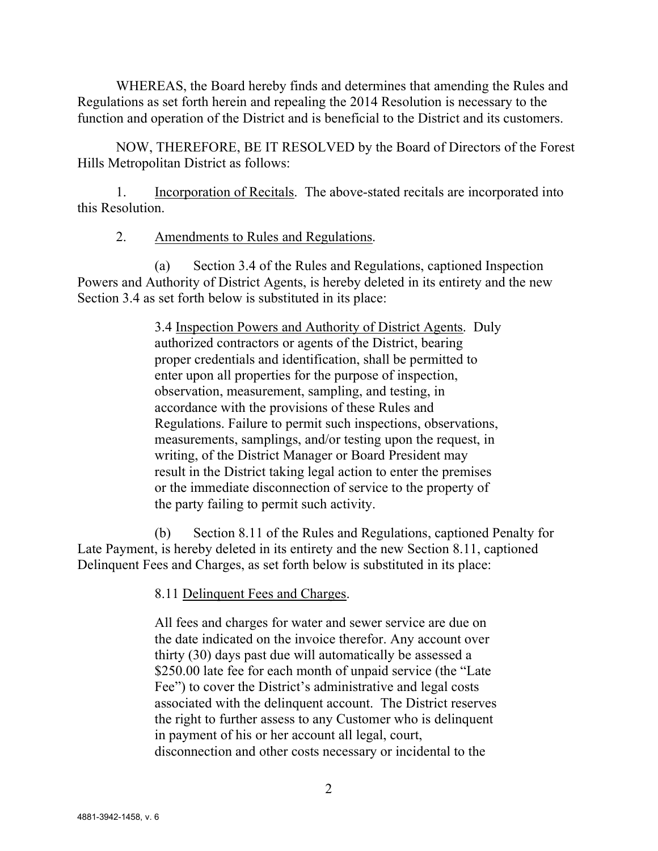WHEREAS, the Board hereby finds and determines that amending the Rules and Regulations as set forth herein and repealing the 2014 Resolution is necessary to the function and operation of the District and is beneficial to the District and its customers.

NOW, THEREFORE, BE IT RESOLVED by the Board of Directors of the Forest Hills Metropolitan District as follows:

1. Incorporation of Recitals. The above-stated recitals are incorporated into this Resolution.

2. Amendments to Rules and Regulations.

(a) Section 3.4 of the Rules and Regulations, captioned Inspection Powers and Authority of District Agents, is hereby deleted in its entirety and the new Section 3.4 as set forth below is substituted in its place:

> 3.4 Inspection Powers and Authority of District Agents. Duly authorized contractors or agents of the District, bearing proper credentials and identification, shall be permitted to enter upon all properties for the purpose of inspection, observation, measurement, sampling, and testing, in accordance with the provisions of these Rules and Regulations. Failure to permit such inspections, observations, measurements, samplings, and/or testing upon the request, in writing, of the District Manager or Board President may result in the District taking legal action to enter the premises or the immediate disconnection of service to the property of the party failing to permit such activity.

(b) Section 8.11 of the Rules and Regulations, captioned Penalty for Late Payment, is hereby deleted in its entirety and the new Section 8.11, captioned Delinquent Fees and Charges, as set forth below is substituted in its place:

8.11 Delinquent Fees and Charges.

All fees and charges for water and sewer service are due on the date indicated on the invoice therefor. Any account over thirty (30) days past due will automatically be assessed a \$250.00 late fee for each month of unpaid service (the "Late" Fee") to cover the District's administrative and legal costs associated with the delinquent account. The District reserves the right to further assess to any Customer who is delinquent in payment of his or her account all legal, court, disconnection and other costs necessary or incidental to the